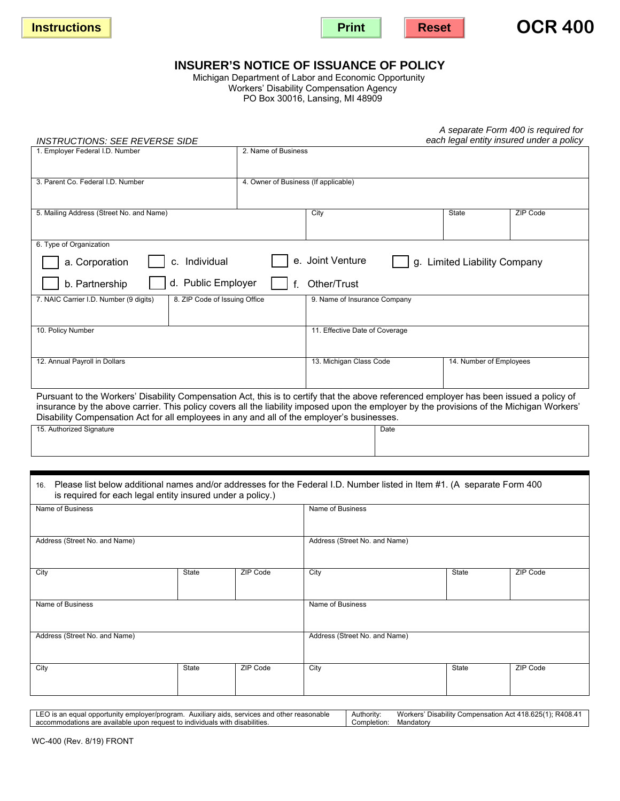





# **INSURER'S NOTICE OF ISSUANCE OF POLICY**

Workers' Disability Compensation Agency PO Box 30016, Lansing, MI 48909 Michigan Department of Labor and Economic Opportunity

| A separate Form 400 is required for<br>each legal entity insured under a policy<br><b>INSTRUCTIONS: SEE REVERSE SIDE</b>                                                                     |                                      |                                                    |  |       |          |  |
|----------------------------------------------------------------------------------------------------------------------------------------------------------------------------------------------|--------------------------------------|----------------------------------------------------|--|-------|----------|--|
| 1. Employer Federal I.D. Number                                                                                                                                                              |                                      |                                                    |  |       |          |  |
|                                                                                                                                                                                              |                                      | 2. Name of Business                                |  |       |          |  |
| 3. Parent Co. Federal I.D. Number                                                                                                                                                            | 4. Owner of Business (If applicable) |                                                    |  |       |          |  |
|                                                                                                                                                                                              |                                      |                                                    |  |       |          |  |
| 5. Mailing Address (Street No. and Name)                                                                                                                                                     |                                      | City                                               |  | State | ZIP Code |  |
|                                                                                                                                                                                              |                                      |                                                    |  |       |          |  |
| 6. Type of Organization                                                                                                                                                                      |                                      |                                                    |  |       |          |  |
| e. Joint Venture<br>c. Individual<br>a. Corporation<br>g. Limited Liability Company                                                                                                          |                                      |                                                    |  |       |          |  |
| d. Public Employer<br>b. Partnership<br>Other/Trust                                                                                                                                          |                                      |                                                    |  |       |          |  |
| 8. ZIP Code of Issuing Office<br>7. NAIC Carrier I.D. Number (9 digits)                                                                                                                      |                                      | 9. Name of Insurance Company                       |  |       |          |  |
|                                                                                                                                                                                              |                                      |                                                    |  |       |          |  |
| 10. Policy Number                                                                                                                                                                            | 11. Effective Date of Coverage       |                                                    |  |       |          |  |
|                                                                                                                                                                                              |                                      |                                                    |  |       |          |  |
| 12. Annual Payroll in Dollars                                                                                                                                                                |                                      | 13. Michigan Class Code<br>14. Number of Employees |  |       |          |  |
|                                                                                                                                                                                              |                                      |                                                    |  |       |          |  |
| Pursuant to the Workers' Disability Compensation Act, this is to certify that the above referenced employer has been issued a policy of                                                      |                                      |                                                    |  |       |          |  |
| insurance by the above carrier. This policy covers all the liability imposed upon the employer by the provisions of the Michigan Workers'                                                    |                                      |                                                    |  |       |          |  |
| Disability Compensation Act for all employees in any and all of the employer's businesses.                                                                                                   |                                      |                                                    |  |       |          |  |
| 15. Authorized Signature                                                                                                                                                                     |                                      | Date                                               |  |       |          |  |
|                                                                                                                                                                                              |                                      |                                                    |  |       |          |  |
|                                                                                                                                                                                              |                                      |                                                    |  |       |          |  |
|                                                                                                                                                                                              |                                      |                                                    |  |       |          |  |
| Please list below additional names and/or addresses for the Federal I.D. Number listed in Item #1. (A separate Form 400<br>16.<br>is required for each legal entity insured under a policy.) |                                      |                                                    |  |       |          |  |
| Name of Business                                                                                                                                                                             | Name of Business                     |                                                    |  |       |          |  |
|                                                                                                                                                                                              |                                      |                                                    |  |       |          |  |
| Address (Street No. and Name)                                                                                                                                                                | Address (Street No. and Name)        |                                                    |  |       |          |  |
|                                                                                                                                                                                              |                                      |                                                    |  |       |          |  |
| City<br>State                                                                                                                                                                                | ZIP Code                             | City                                               |  | State | ZIP Code |  |
|                                                                                                                                                                                              |                                      |                                                    |  |       |          |  |
|                                                                                                                                                                                              |                                      |                                                    |  |       |          |  |
| Name of Business                                                                                                                                                                             |                                      | Name of Business                                   |  |       |          |  |
|                                                                                                                                                                                              |                                      |                                                    |  |       |          |  |
| Address (Street No. and Name)                                                                                                                                                                |                                      | Address (Street No. and Name)                      |  |       |          |  |
|                                                                                                                                                                                              |                                      |                                                    |  |       |          |  |
|                                                                                                                                                                                              |                                      |                                                    |  |       |          |  |

City | State | ZIP Code | City | State | ZIP Code